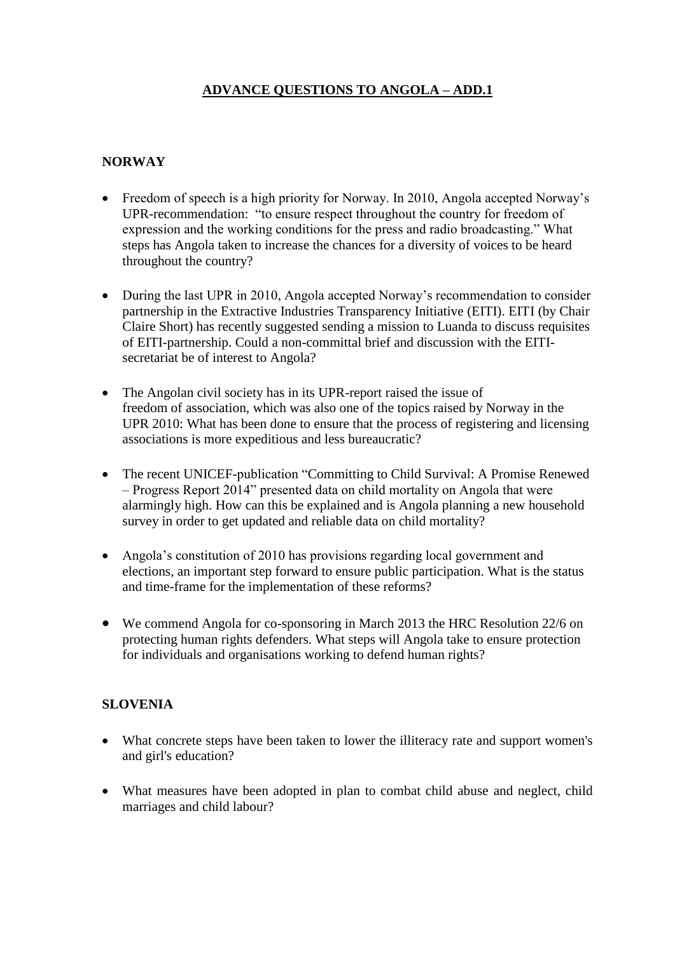## **ADVANCE QUESTIONS TO ANGOLA – ADD.1**

## **NORWAY**

- Freedom of speech is a high priority for Norway. In 2010, Angola accepted Norway's UPR-recommendation: "to ensure respect throughout the country for freedom of expression and the working conditions for the press and radio broadcasting." What steps has Angola taken to increase the chances for a diversity of voices to be heard throughout the country?
- During the last UPR in 2010, Angola accepted Norway's recommendation to consider partnership in the Extractive Industries Transparency Initiative (EITI). EITI (by Chair Claire Short) has recently suggested sending a mission to Luanda to discuss requisites of EITI-partnership. Could a non-committal brief and discussion with the EITIsecretariat be of interest to Angola?
- The Angolan civil society has in its UPR-report raised the issue of freedom of association, which was also one of the topics raised by Norway in the UPR 2010: What has been done to ensure that the process of registering and licensing associations is more expeditious and less bureaucratic?
- The recent UNICEF-publication "Committing to Child Survival: A Promise Renewed – Progress Report 2014" presented data on child mortality on Angola that were alarmingly high. How can this be explained and is Angola planning a new household survey in order to get updated and reliable data on child mortality?
- Angola's constitution of 2010 has provisions regarding local government and elections, an important step forward to ensure public participation. What is the status and time-frame for the implementation of these reforms?
- We commend Angola for co-sponsoring in March 2013 the HRC Resolution 22/6 on protecting human rights defenders. What steps will Angola take to ensure protection for individuals and organisations working to defend human rights?

## **SLOVENIA**

- What concrete steps have been taken to lower the illiteracy rate and support women's and girl's education?
- What measures have been adopted in plan to combat child abuse and neglect, child marriages and child labour?